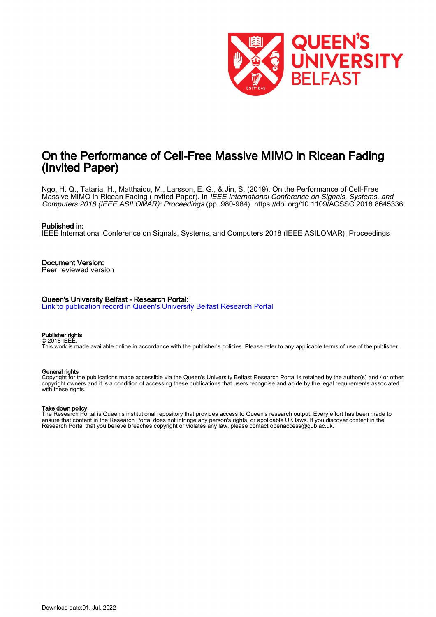

# On the Performance of Cell-Free Massive MIMO in Ricean Fading (Invited Paper)

Ngo, H. Q., Tataria, H., Matthaiou, M., Larsson, E. G., & Jin, S. (2019). On the Performance of Cell-Free Massive MIMO in Ricean Fading (Invited Paper). In *IEEE International Conference on Signals, Systems, and* Computers 2018 (IEEE ASILOMAR): Proceedings (pp. 980-984). <https://doi.org/10.1109/ACSSC.2018.8645336>

#### Published in:

IEEE International Conference on Signals, Systems, and Computers 2018 (IEEE ASILOMAR): Proceedings

Document Version: Peer reviewed version

#### Queen's University Belfast - Research Portal:

[Link to publication record in Queen's University Belfast Research Portal](https://pure.qub.ac.uk/en/publications/5ca19a0a-ed7f-4e69-8862-17f5894ea186)

#### Publisher rights © 2018 IEEE.

This work is made available online in accordance with the publisher's policies. Please refer to any applicable terms of use of the publisher.

## General rights

Copyright for the publications made accessible via the Queen's University Belfast Research Portal is retained by the author(s) and / or other copyright owners and it is a condition of accessing these publications that users recognise and abide by the legal requirements associated with these rights.

## Take down policy

The Research Portal is Queen's institutional repository that provides access to Queen's research output. Every effort has been made to ensure that content in the Research Portal does not infringe any person's rights, or applicable UK laws. If you discover content in the Research Portal that you believe breaches copyright or violates any law, please contact openaccess@qub.ac.uk.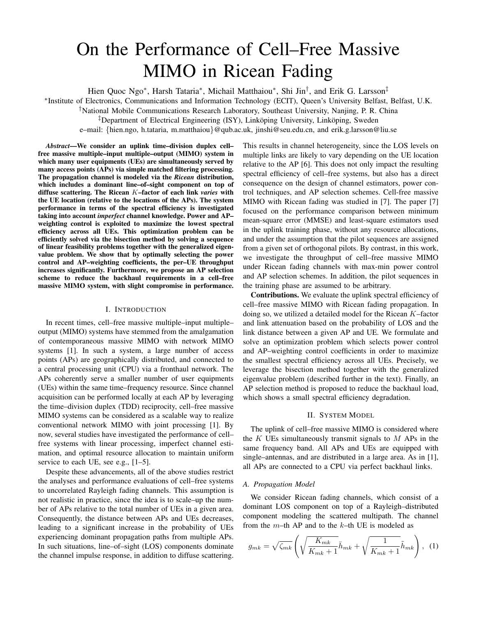# On the Performance of Cell–Free Massive MIMO in Ricean Fading

Hien Quoc Ngo<sup>∗</sup>, Harsh Tataria<sup>∗</sup>, Michail Matthaiou<sup>∗</sup>, Shi Jin<sup>†</sup>, and Erik G. Larsson<sup>‡</sup>

∗ Institute of Electronics, Communications and Information Technology (ECIT), Queen's University Belfast, Belfast, U.K.

†National Mobile Communications Research Laboratory, Southeast University, Nanjing, P. R. China

<sup>‡</sup>Department of Electrical Engineering (ISY), Linköping University, Linköping, Sweden

e–mail: {hien.ngo, h.tataria, m.matthaiou}@qub.ac.uk, jinshi@seu.edu.cn, and erik.g.larsson@liu.se

*Abstract*—We consider an uplink time–division duplex cell– free massive multiple–input multiple–output (MIMO) system in which many user equipments (UEs) are simultaneously served by many access points (APs) via simple matched filtering processing. The propagation channel is modeled via the *Ricean* distribution, which includes a dominant line–of–sight component on top of diffuse scattering. The Ricean K–factor of each link *varies* with the UE location (relative to the locations of the APs). The system performance in terms of the spectral efficiency is investigated taking into account *imperfect* channel knowledge. Power and AP– weighting control is exploited to maximize the lowest spectral efficiency across all UEs. This optimization problem can be efficiently solved via the bisection method by solving a sequence of linear feasibility problems together with the generalized eigenvalue problem. We show that by optimally selecting the power control and AP–weighting coefficients, the per–UE throughput increases significantly. Furthermore, we propose an AP selection scheme to reduce the backhaul requirements in a cell–free massive MIMO system, with slight compromise in performance.

#### I. INTRODUCTION

In recent times, cell–free massive multiple–input multiple– output (MIMO) systems have stemmed from the amalgamation of contemporaneous massive MIMO with network MIMO systems [1]. In such a system, a large number of access points (APs) are geographically distributed, and connected to a central processing unit (CPU) via a fronthaul network. The APs coherently serve a smaller number of user equipments (UEs) within the same time–frequency resource. Since channel acquisition can be performed locally at each AP by leveraging the time–division duplex (TDD) reciprocity, cell–free massive MIMO systems can be considered as a scalable way to realize conventional network MIMO with joint processing [1]. By now, several studies have investigated the performance of cell– free systems with linear processing, imperfect channel estimation, and optimal resource allocation to maintain uniform service to each UE, see e.g., [1–5].

Despite these advancements, all of the above studies restrict the analyses and performance evaluations of cell–free systems to uncorrelated Rayleigh fading channels. This assumption is not realistic in practice, since the idea is to scale–up the number of APs relative to the total number of UEs in a given area. Consequently, the distance between APs and UEs decreases, leading to a significant increase in the probability of UEs experiencing dominant propagation paths from multiple APs. In such situations, line–of–sight (LOS) components dominate the channel impulse response, in addition to diffuse scattering. This results in channel heterogeneity, since the LOS levels on multiple links are likely to vary depending on the UE location relative to the AP [6]. This does not only impact the resulting spectral efficiency of cell–free systems, but also has a direct consequence on the design of channel estimators, power control techniques, and AP selection schemes. Cell-free massive MIMO with Ricean fading was studied in [7]. The paper [7] focused on the performance comparison between minimum mean-square error (MMSE) and least-square estimators used in the uplink training phase, without any resource allocations, and under the assumption that the pilot sequences are assigned from a given set of orthogonal pilots. By contrast, in this work, we investigate the throughput of cell–free massive MIMO under Ricean fading channels with max-min power control and AP selection schemes. In addition, the pilot sequences in the training phase are assumed to be arbitrary.

Contributions. We evaluate the uplink spectral efficiency of cell–free massive MIMO with Ricean fading propagation. In doing so, we utilized a detailed model for the Ricean K–factor and link attenuation based on the probability of LOS and the link distance between a given AP and UE. We formulate and solve an optimization problem which selects power control and AP–weighting control coefficients in order to maximize the smallest spectral efficiency across all UEs. Precisely, we leverage the bisection method together with the generalized eigenvalue problem (described further in the text). Finally, an AP selection method is proposed to reduce the backhaul load, which shows a small spectral efficiency degradation.

#### II. SYSTEM MODEL

The uplink of cell–free massive MIMO is considered where the K UEs simultaneously transmit signals to  $M$  APs in the same frequency band. All APs and UEs are equipped with single–antennas, and are distributed in a large area. As in [1], all APs are connected to a CPU via perfect backhaul links.

#### *A. Propagation Model*

We consider Ricean fading channels, which consist of a dominant LOS component on top of a Rayleigh–distributed component modeling the scattered multipath. The channel from the  $m$ –th AP and to the  $k$ –th UE is modeled as

$$
g_{mk} = \sqrt{\zeta_{mk}} \left( \sqrt{\frac{K_{mk}}{K_{mk}+1}} \bar{h}_{mk} + \sqrt{\frac{1}{K_{mk}+1}} \tilde{h}_{mk} \right), \quad (1)
$$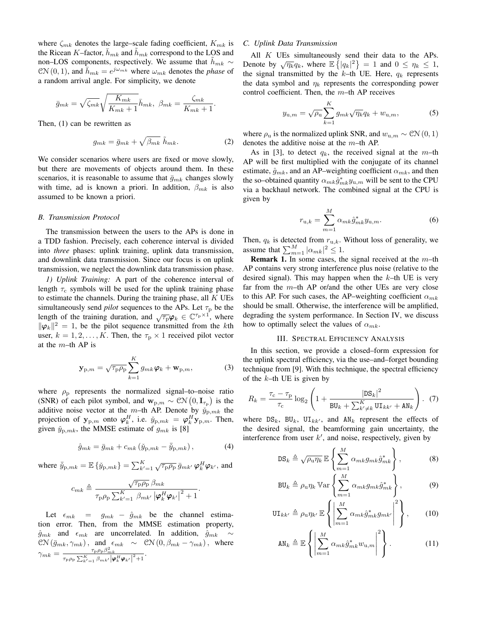where  $\zeta_{mk}$  denotes the large–scale fading coefficient,  $K_{mk}$  is the Ricean K–factor,  $h_{mk}$  and  $h_{mk}$  correspond to the LOS and non–LOS components, respectively. We assume that  $h_{mk}$  ∼  $CN(0, 1)$ , and  $\bar{h}_{mk} = e^{j\omega_{mk}}$  where  $\omega_{mk}$  denotes the *phase* of a random arrival angle. For simplicity, we denote

$$
\bar{g}_{mk} = \sqrt{\zeta_{mk}} \sqrt{\frac{K_{mk}}{K_{mk}+1}} \bar{h}_{mk}, \ \beta_{mk} = \frac{\zeta_{mk}}{K_{mk}+1}.
$$

Then, (1) can be rewritten as

$$
g_{mk} = \bar{g}_{mk} + \sqrt{\beta_{mk}} \; \tilde{h}_{mk}.
$$
 (2)

We consider scenarios where users are fixed or move slowly, but there are movements of objects around them. In these scenarios, it is reasonable to assume that  $\bar{g}_{mk}$  changes slowly with time, ad is known a priori. In addition,  $\beta_{mk}$  is also assumed to be known a priori.

#### *B. Transmission Protocol*

The transmission between the users to the APs is done in a TDD fashion. Precisely, each coherence interval is divided into *three* phases: uplink training, uplink data transmission, and downlink data transmission. Since our focus is on uplink transmission, we neglect the downlink data transmission phase.

*1) Uplink Training:* A part of the coherence interval of length  $\tau_c$  symbols will be used for the uplink training phase to estimate the channels. During the training phase, all  $K$  UEs simultaneously send *pilot* sequences to the APs. Let  $\tau_p$  be the length of the training duration, and  $\sqrt{\tau_p} \varphi_k \in \mathbb{C}^{\tau_p \times 1}$ , where  $\|\varphi_k\|^2 = 1$ , be the pilot sequence transmitted from the kth user,  $k = 1, 2, ..., K$ . Then, the  $\tau_{p} \times 1$  received pilot vector at the  $m$ –th AP is

$$
\mathbf{y}_{\mathrm{p},m} = \sqrt{\tau_{\mathrm{p}} \rho_{\mathrm{p}}} \sum_{k=1}^{K} g_{mk} \boldsymbol{\varphi}_{k} + \mathbf{w}_{\mathrm{p},m}, \tag{3}
$$

where  $\rho_{\rm p}$  represents the normalized signal–to–noise ratio (SNR) of each pilot symbol, and  $\mathbf{w}_{p,m} \sim \mathcal{CN}\left(0, \mathbf{I}_{\tau_p}\right)$  is the additive noise vector at the m–th AP. Denote by  $\check{y}_{p,mk}$  the projection of  $y_{p,m}$  onto  $\boldsymbol{\varphi}_k^H$ , i.e.  $\check{y}_{p,mk} = \boldsymbol{\varphi}_k^H \mathbf{y}_{p,m}$ . Then, given  $\check{y}_{p,mk}$ , the MMSE estimate of  $g_{mk}$  is [8]

$$
\hat{g}_{mk} = \bar{g}_{mk} + c_{mk} \left( \check{y}_{p,mk} - \bar{\check{y}}_{p,mk} \right), \tag{4}
$$

where  $\bar{\tilde{y}}_{p,mk} = \mathbb{E} \{ \tilde{y}_{p,mk} \} = \sum_{k'=1}^{K} \sqrt{\tau_p \rho_p} \, \bar{g}_{mk'} \, \varphi_k^H \varphi_{k'}$ , and

$$
c_{mk} \triangleq \frac{\sqrt{\tau_{\rm p}\rho_{\rm p}}\,\beta_{mk}}{\tau_{\rm p}\rho_{\rm p}\sum_{k'=1}^{K}\,\beta_{mk'}\left|\pmb{\varphi}_{k}^{H}\pmb{\varphi}_{k'}\right|^{2}+1}.
$$

Let  $\epsilon_{mk}$  =  $g_{mk}$  –  $\hat{g}_{mk}$  be the channel estimation error. Then, from the MMSE estimation property,  $\hat{g}_{mk}$  and  $\epsilon_{mk}$  are uncorrelated. In addition,  $\hat{g}_{mk} \sim$  $\mathcal{CN}(\bar{g}_{mk}, \gamma_{mk}), \text{ and }_{\in \mathbb{R}^m} \sim \mathcal{CN}(0, \beta_{mk} - \gamma_{mk}), \text{ where}$  $\gamma_{mk} = \frac{\tau_{\rm p}\rho_{\rm p}\beta_{mk}^2}{\tau_{\rm p}\rho_{\rm p}\sum_{k'=1}^K\beta_{mk'}\big\vert\boldsymbol{\varphi}_k^H\boldsymbol{\varphi}_{k'}\big\vert^2+1}.$ 

#### *C. Uplink Data Transmission*

All K UEs simultaneously send their data to the APs. Denote by  $\sqrt{\eta_k}q_k$ , where  $\mathbb{E}\left\{|q_k|^2\right\}=1$  and  $0 \leq \eta_k \leq 1$ , the signal transmitted by the  $k$ -th UE. Here,  $q_k$  represents the data symbol and  $\eta_k$  represents the corresponding power control coefficient. Then, the  $m$ –th AP receives

$$
y_{\mathbf{u},m} = \sqrt{\rho_{\mathbf{u}}} \sum_{k=1}^{K} g_{mk} \sqrt{\eta_k} q_k + w_{\mathbf{u},m}, \qquad (5)
$$

where  $\rho_u$  is the normalized uplink SNR, and  $w_{u,m} \sim \mathcal{CN}(0, 1)$ denotes the additive noise at the  $m$ –th AP.

As in [3], to detect  $q_k$ , the received signal at the m-th AP will be first multiplied with the conjugate of its channel estimate,  $\hat{g}_{mk}$ , and an AP–weighting coefficient  $\alpha_{mk}$ , and then the so–obtained quantity  $\alpha_{mk}\hat{g}_{mk}^*y_{u,m}$  will be sent to the CPU via a backhaul network. The combined signal at the CPU is given by

$$
r_{\mathbf{u},k} = \sum_{m=1}^{M} \alpha_{mk} \hat{g}_{mk}^* y_{\mathbf{u},m}.
$$
 (6)

Then,  $q_k$  is detected from  $r_{u,k}$ . Without loss of generality, we assume that  $\sum_{m=1}^{M} |\alpha_{mk}|^2 \leq 1$ .

**Remark 1.** In some cases, the signal received at the  $m$ -th AP contains very strong interference plus noise (relative to the desired signal). This may happen when the  $k$ -th UE is very far from the  $m$ –th AP or/and the other UEs are very close to this AP. For such cases, the AP–weighting coefficient  $\alpha_{mk}$ should be small. Otherwise, the interference will be amplified, degrading the system performance. In Section IV, we discuss how to optimally select the values of  $\alpha_{mk}$ .

#### III. SPECTRAL EFFICIENCY ANALYSIS

In this section, we provide a closed–form expression for the uplink spectral efficiency, via the use–and–forget bounding technique from [9]. With this technique, the spectral efficiency of the  $k$ –th UE is given by

$$
R_{k} = \frac{\tau_{\rm c} - \tau_{\rm p}}{\tau_{\rm c}} \log_2 \left( 1 + \frac{|{\rm DS}_{k}|^2}{\text{BU}_{k} + \sum_{k' \neq k}^{K} \text{UI}_{kk'} + \text{AN}_{k}} \right). (7)
$$

where  $DS_k$ ,  $BU_k$ ,  $UI_{kk'}$ , and  $AN_k$  represent the effects of the desired signal, the beamforming gain uncertainty, the interference from user  $k'$ , and noise, respectively, given by

$$
\text{DS}_k \triangleq \sqrt{\rho_\text{u}\eta_k} \mathbb{E}\left\{\sum_{m=1}^M \alpha_{mk} g_{mk} \hat{g}_{mk}^*\right\},\tag{8}
$$

$$
BU_k \triangleq \rho_u \eta_k \operatorname{Var}\left\{\sum_{m=1}^M \alpha_{mk} g_{mk} \hat{g}_{mk}^*\right\},\tag{9}
$$

$$
\mathbf{UI}_{kk'} \triangleq \rho_{\mathbf{u}} \eta_{k'} \mathbb{E} \left\{ \left| \sum_{m=1}^{M} \alpha_{mk} \hat{g}_{mk}^* g_{mk'} \right|^2 \right\},\qquad(10)
$$

$$
AN_k \triangleq \mathbb{E}\left\{ \left| \sum_{m=1}^M \alpha_{mk} \hat{g}_{mk}^* w_{u,m} \right|^2 \right\}.
$$
 (11)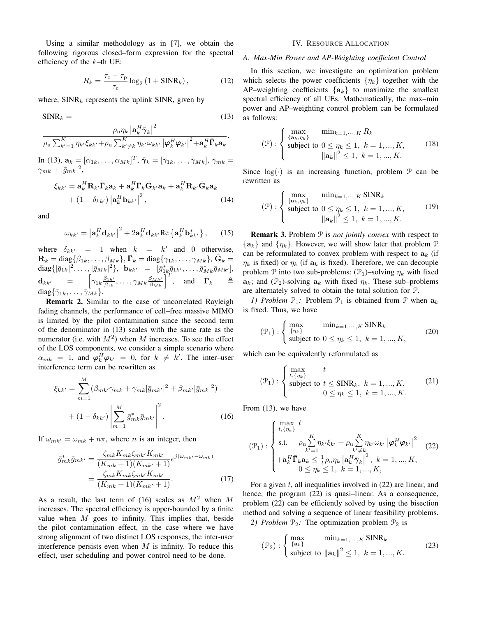Using a similar methodology as in [7], we obtain the following rigorous closed–form expression for the spectral efficiency of the  $k$ –th UE:

$$
R_k = \frac{\tau_{\rm c} - \tau_{\rm p}}{\tau_{\rm c}} \log_2 \left( 1 + \text{SINR}_k \right),\tag{12}
$$

where,  $SINR_k$  represents the uplink SINR, given by

$$
\text{SINR}_k = (13)
$$

$$
\frac{\rho_{\mathrm{u}}\eta_{k}\left|\mathbf{a}_{k}^{H}\bar{\pmb{\gamma}}_{k}\right|^{2}}{\rho_{\mathrm{u}}\sum_{k'=1}^{K}\eta_{k'}\xi_{kk'}+\rho_{\mathrm{u}}\sum_{k'\neq k}^{K}\eta_{k'}\omega_{kk'}\left|\pmb{\varphi}_{k}^{H}\pmb{\varphi}_{k'}\right|^{2}+\mathbf{a}_{k}^{H}\bar{\pmb{\Gamma}}_{k}\mathbf{a}_{k}}.
$$

In (13),  $\mathbf{a}_k = [\alpha_{1k}, \dots, \alpha_{Mk}]^T$ ,  $\bar{\pmb{\gamma}}_k = [\bar{\gamma}_{1k}, \dots, \bar{\gamma}_{Mk}], \bar{\gamma}_{mk} =$  $\gamma_{mk}+|\bar{g}_{mk}|^2,$ 

$$
\xi_{kk'} = \mathbf{a}_k^H \mathbf{R}_{k'} \mathbf{\Gamma}_k \mathbf{a}_k + \mathbf{a}_k^H \mathbf{\Gamma}_k \bar{\mathbf{G}}_{k'} \mathbf{a}_k + \mathbf{a}_k^H \mathbf{R}_{k'} \bar{\mathbf{G}}_k \mathbf{a}_k + (1 - \delta_{kk'}) |\mathbf{a}_k^H \mathbf{b}_{kk'}|^2,
$$
(14)

and

$$
\omega_{kk'} = \left| \mathbf{a}_k^H \mathbf{d}_{kk'} \right|^2 + 2 \mathbf{a}_k^H \mathbf{d}_{kk'} \text{Re} \left\{ \mathbf{a}_k^H \mathbf{b}_{kk'}^* \right\}, \qquad (15)
$$

where  $\delta_{kk'}$  = 1 when  $k = k'$  and 0 otherwise,  $\mathbf{R}_k = \text{diag}\{\beta_{1k}, \dots, \beta_{Mk}\}, \mathbf{\Gamma}_k = \text{diag}\{\gamma_{1k}, \dots, \gamma_{Mk}\}, \bar{\mathbf{G}}_k =$  $diag\{|\bar{g}_{1k}|^2, \ldots, |\bar{g}_{Mk}|^2\}, \ \ \mathbf{b}_{kk'} = [\bar{g}_{1k}^*\bar{g}_{1k'}, \ldots, \bar{g}_{Mk}^*\bar{g}_{Mk'}],$  $\mathbf{d}_{kk'}$  =  $\begin{bmatrix} \gamma_{1k} \frac{\beta_{1k'}}{\beta_{1k}}, \ldots, \gamma_{Mk} \frac{\beta_{Mk'}}{\beta_{Mk}} \end{bmatrix}^T$ , and  $\bar{\mathbf{\Gamma}}_k$   $\triangleq$ diag $\{\bar{\gamma}_{1k}, \ldots, \bar{\gamma}_{Mk}\}.$ 

Remark 2. Similar to the case of uncorrelated Rayleigh fading channels, the performance of cell–free massive MIMO is limited by the pilot contamination since the second term of the denominator in (13) scales with the same rate as the numerator (i.e. with  $M^2$ ) when M increases. To see the effect of the LOS components, we consider a simple scenario where  $\alpha_{mk}$  = 1, and  $\boldsymbol{\varphi}_k^H \boldsymbol{\varphi}_{k'}$  = 0, for  $k \neq k'$ . The inter-user interference term can be rewritten as

$$
\xi_{kk'} = \sum_{m=1}^{M} (\beta_{mk'} \gamma_{mk} + \gamma_{mk} |\bar{g}_{mk'}|^2 + \beta_{mk'} |\bar{g}_{mk}|^2) + (1 - \delta_{kk'}) \left| \sum_{m=1}^{M} \bar{g}_{mk}^* \bar{g}_{mk'} \right|^2.
$$
 (16)

If  $\omega_{mk'} = \omega_{mk} + n\pi$ , where n is an integer, then

$$
\bar{g}_{mk}^* \bar{g}_{mk'} = \frac{\zeta_{mk} K_{mk'} K_{mk'} K_{mk'}}{(K_{mk} + 1)(K_{mk'} + 1)} e^{j(\omega_{mk'} - \omega_{mk})}
$$

$$
= \frac{\zeta_{mk} K_{mk} \zeta_{mk'} K_{mk'}}{(K_{mk} + 1)(K_{mk'} + 1)}.
$$
(17)

As a result, the last term of (16) scales as  $M^2$  when M increases. The spectral efficiency is upper-bounded by a finite value when  $M$  goes to infinity. This implies that, beside the pilot contamination effect, in the case where we have strong alignment of two distinct LOS responses, the inter-user interference persists even when  $M$  is infinity. To reduce this effect, user scheduling and power control need to be done.

#### IV. RESOURCE ALLOCATION

#### *A. Max-Min Power and AP-Weighting coefficient Control*

In this section, we investigate an optimization problem which selects the power coefficients  $\{\eta_k\}$  together with the AP–weighting coefficients  $\{a_k\}$  to maximize the smallest spectral efficiency of all UEs. Mathematically, the max–min power and AP–weighting control problem can be formulated as follows:

$$
\begin{aligned} \n(\mathcal{P}) : \n\begin{cases} \n\max_{\{\mathbf{a}_k, \eta_k\}} & \min_{k=1, \cdots, K} R_k \\
\text{subject to } 0 \leq \eta_k \leq 1, \ k = 1, \dots, K, \\
\|\mathbf{a}_k\|^2 \leq 1, \ k = 1, \dots, K. \n\end{cases} \n\end{aligned} \tag{18}
$$

Since  $log(·)$  is an increasing function, problem  $P$  can be rewritten as

$$
(\mathcal{P}) : \begin{cases} \max_{\{a_k, \eta_k\}} & \min_{k=1, \cdots, K} \text{SINR}_k \\ \text{subject to } 0 \le \eta_k \le 1, \ k = 1, \dots, K, \\ & \|a_k\|^2 \le 1, \ k = 1, \dots, K. \end{cases} (19)
$$

Remark 3. Problem P is *not jointly convex* with respect to  $\{a_k\}$  and  $\{\eta_k\}$ . However, we will show later that problem  $\mathcal P$ can be reformulated to convex problem with respect to  $a_k$  (if  $\eta_k$  is fixed) or  $\eta_k$  (if  $a_k$  is fixed). Therefore, we can decouple problem P into two sub-problems:  $(\mathcal{P}_1)$ –solving  $\eta_k$  with fixed  $a_k$ ; and (P<sub>2</sub>)-solving  $a_k$  with fixed  $\eta_k$ . These sub–problems are alternately solved to obtain the total solution for P.

*1) Problem*  $\mathcal{P}_1$ : Problem  $\mathcal{P}_1$  is obtained from  $\mathcal{P}$  when  $a_k$ is fixed. Thus, we have

$$
(\mathcal{P}_1): \begin{cases} \max_{\{\eta_k\}} & \min_{k=1,\cdots,K} \text{SINR}_k \\ \text{subject to } 0 \le \eta_k \le 1, \ k = 1, \ldots, K, \end{cases} \tag{20}
$$

which can be equivalently reformulated as

$$
(\mathcal{P}_1): \begin{cases} \max_{t, \{\eta_k\}} & t \\ \text{subject to } t \leq \text{SINR}_k, \ k = 1, ..., K, \\ 0 \leq \eta_k \leq 1, \ k = 1, ..., K. \end{cases} (21)
$$

From (13), we have

$$
\left(\mathcal{P}_{1}\right): \begin{cases} \max_{t,\{\eta_{k}\}} t \\ \text{s.t.} \quad \rho_{\text{u}} \sum_{k'=1}^{K} \eta_{k'} \xi_{k'} + \rho_{\text{u}} \sum_{k'\neq k}^{K} \eta_{k'} \omega_{k'} \left| \boldsymbol{\varphi}_{k}^{H} \boldsymbol{\varphi}_{k'} \right|^{2} \\ + \mathbf{a}_{k}^{H} \bar{\boldsymbol{\Gamma}}_{k} \mathbf{a}_{k} \leq \frac{1}{t} \rho_{\text{u}} \eta_{k} \left| \mathbf{a}_{k}^{H} \bar{\boldsymbol{\gamma}}_{k} \right|^{2}, \ k = 1, ..., K, \\ 0 \leq \eta_{k} \leq 1, \ k = 1, ..., K, \end{cases} \tag{22}
$$

For a given  $t$ , all inequalities involved in  $(22)$  are linear, and hence, the program (22) is quasi–linear. As a consequence, problem (22) can be efficiently solved by using the bisection method and solving a sequence of linear feasibility problems. *2) Problem*  $\mathcal{P}_2$ : The optimization problem  $\mathcal{P}_2$  is

$$
(\mathcal{P}_2): \begin{cases} \max_{\{\mathbf{a}_k\}} & \min_{k=1,\cdots,K} \text{SINR}_k \\ \text{subject to } \|\mathbf{a}_k\|^2 \le 1, \ k = 1,\ldots,K. \end{cases} (23)
$$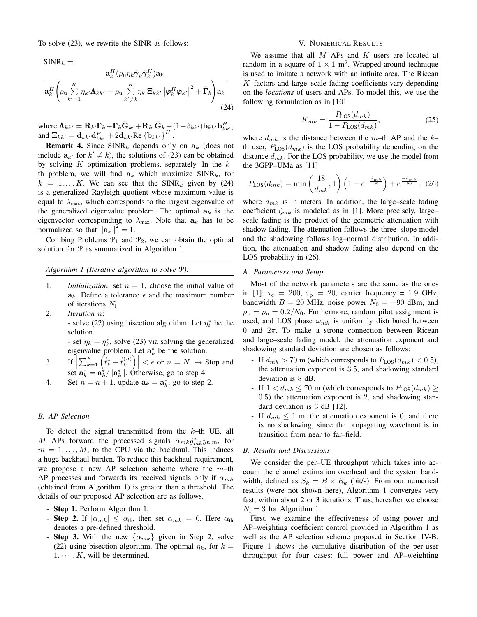To solve (23), we rewrite the SINR as follows:

 $SINR_k =$ 

$$
\frac{\mathbf{a}_{k}^{H}(\rho_{u}\eta_{k}\bar{\pmb{\gamma}}_{k}\bar{\pmb{\gamma}}_{k}^{H})\mathbf{a}_{k}}{\mathbf{a}_{k}^{H}\left(\rho_{u}\sum_{k'=1}^{K}\eta_{k'}\mathbf{\Lambda}_{kk'}+\rho_{u}\sum_{k'\neq k}^{K}\eta_{k'}\mathbf{\Xi}_{kk'}\left|\pmb{\varphi}_{k}^{H}\pmb{\varphi}_{k'}\right|^{2}+\bar{\pmb{\Gamma}}_{k}\right)\mathbf{a}_{k}},\tag{24}
$$

where  $\mathbf{\Lambda}_{kk'} = \mathbf{R}_{k'} \mathbf{\Gamma}_k + \mathbf{\Gamma}_k \bar{\mathbf{G}}_{k'} + \mathbf{R}_{k'} \bar{\mathbf{G}}_{k} + (1 - \delta_{kk'}) \mathbf{b}_{kk'} \mathbf{b}_{kk'}^H$ , and  $\mathbf{\Xi}_{kk'} = \mathbf{d}_{kk'} \mathbf{d}_{kk'}^H + 2 \mathbf{d}_{kk'} \text{Re} \left\{ \mathbf{b}_{kk'} \right\}^H$ .

**Remark 4.** Since  $SINR_k$  depends only on  $a_k$  (does not include  $a_{k'}$  for  $k' \neq k$ ), the solutions of (23) can be obtained by solving K optimization problems, separately. In the  $k$ th problem, we will find  $a_k$  which maximize SINR<sub>k</sub>, for  $k = 1, \dots K$ . We can see that the SINR<sub>k</sub> given by (24) is a generalized Rayleigh quotient whose maximum value is equal to  $\lambda_{\text{max}}$ , which corresponds to the largest eigenvalue of the generalized eigenvalue problem. The optimal  $a_k$  is the eigenvector corresponding to  $\lambda_{\text{max}}$ . Note that  $a_k$  has to be normalized so that  $\|\mathbf{a}_k\|^2 = 1$ .

Combing Problems  $\mathcal{P}_1$  and  $\mathcal{P}_2$ , we can obtain the optimal solution for  $P$  as summarized in Algorithm 1.

```
Algorithm 1 (Iterative algorithm to solve P):
```
- 1. *Initialization*: set  $n = 1$ , choose the initial value of  $a_k$ . Define a tolerance  $\epsilon$  and the maximum number of iterations  $N_I$ .
- 2. *Iteration* n:

- solve (22) using bisection algorithm. Let  $\eta_k^*$  be the solution.

- set  $\eta_k = \eta_k^*$ , solve (23) via solving the generalized eigenvalue problem. Let  $a_k^*$  be the solution.

- 3. If  $\sum_{k=1}^K \left(t_k^* \dot{t}_k^{(n)}\right)$ set  $\mathbf{a}_k^* = \mathbf{a}_k^* / ||\mathbf{a}_k^*||$ . Otherwise, go to step 4.  $\binom{n}{k}$   $\leq \epsilon$  or  $n = N_I \to$  Stop and
- 4. Set  $n = n + 1$ , update  $a_k = a_k^*$ , go to step 2.

#### *B. AP Selection*

To detect the signal transmitted from the  $k$ -th UE, all M APs forward the processed signals  $\alpha_{mk}\hat{g}_{mk}^*y_{u,m}$ , for  $m = 1, \ldots, M$ , to the CPU via the backhaul. This induces a huge backhaul burden. To reduce this backhaul requirement, we propose a new AP selection scheme where the  $m$ –th AP processes and forwards its received signals only if  $\alpha_{mk}$ (obtained from Algorithm 1) is greater than a threshold. The details of our proposed AP selection are as follows.

- Step 1. Perform Algorithm 1.
- Step 2. If  $|\alpha_{mk}| \leq \alpha_{\text{th}}$ , then set  $\alpha_{mk} = 0$ . Here  $\alpha_{\text{th}}$ denotes a pre-defined threshold.
- Step 3. With the new  $\{\alpha_{mk}\}\$  given in Step 2, solve (22) using bisection algorithm. The optimal  $\eta_k$ , for  $k =$  $1, \cdots, K$ , will be determined.

#### V. NUMERICAL RESULTS

We assume that all  $M$  APs and  $K$  users are located at random in a square of  $1 \times 1$  m<sup>2</sup>. Wrapped-around technique is used to imitate a network with an infinite area. The Ricean K–factors and large–scale fading coefficients vary depending on the *locations* of users and APs. To model this, we use the following formulation as in [10]

$$
K_{mk} = \frac{P_{\text{LOS}}(d_{mk})}{1 - P_{\text{LOS}}(d_{mk})},\tag{25}
$$

where  $d_{mk}$  is the distance between the m–th AP and the k– th user,  $P_{\text{LOS}}(d_{mk})$  is the LOS probability depending on the distance  $d_{mk}$ . For the LOS probability, we use the model from the 3GPP–UMa as [11]

$$
P_{\text{LOS}}(d_{mk}) = \min\left(\frac{18}{d_{mk}}, 1\right) \left(1 - e^{-\frac{d_{mk}}{63}}\right) + e^{\frac{-d_{mk}}{63}}, (26)
$$

where  $d_{mk}$  is in meters. In addition, the large–scale fading coefficient  $\zeta_{mk}$  is modeled as in [1]. More precisely, large– scale fading is the product of the geometric attenuation with shadow fading. The attenuation follows the three–slope model and the shadowing follows log–normal distribution. In addition, the attenuation and shadow fading also depend on the LOS probability in (26).

#### *A. Parameters and Setup*

Most of the network parameters are the same as the ones in [1]:  $\tau_c = 200$ ,  $\tau_p = 20$ , carrier frequency = 1.9 GHz, bandwidth  $B = 20$  MHz, noise power  $N_0 = -90$  dBm, and  $\rho_{\rm p} = \rho_{\rm u} = 0.2/N_0$ . Furthermore, random pilot assignment is used, and LOS phase  $\omega_{mk}$  is uniformly distributed between 0 and  $2\pi$ . To make a strong connection between Ricean and large–scale fading model, the attenuation exponent and shadowing standard deviation are chosen as follows:

- If  $d_{mk} > 70$  m (which corresponds to  $P_{\text{LOS}}(d_{mk}) < 0.5$ ), the attenuation exponent is 3.5, and shadowing standard deviation is 8 dB.
- If  $1 < d_{mk} \le 70$  m (which corresponds to  $P_{\text{LOS}}(d_{mk}) \ge$ 0.5) the attenuation exponent is 2, and shadowing standard deviation is 3 dB [12].
- If  $d_{mk} \leq 1$  m, the attenuation exponent is 0, and there is no shadowing, since the propagating wavefront is in transition from near to far–field.

#### *B. Results and Discussions*

We consider the per–UE throughput which takes into account the channel estimation overhead and the system bandwidth, defined as  $S_k = B \times R_k$  (bit/s). From our numerical results (were not shown here), Algorithm 1 converges very fast, within about 2 or 3 iterations. Thus, hereafter we choose  $N_{\rm I} = 3$  for Algorithm 1.

First, we examine the effectiveness of using power and AP–weighting coefficient control provided in Algorithm 1 as well as the AP selection scheme proposed in Section IV-B. Figure 1 shows the cumulative distribution of the per-user throughput for four cases: full power and AP–weighting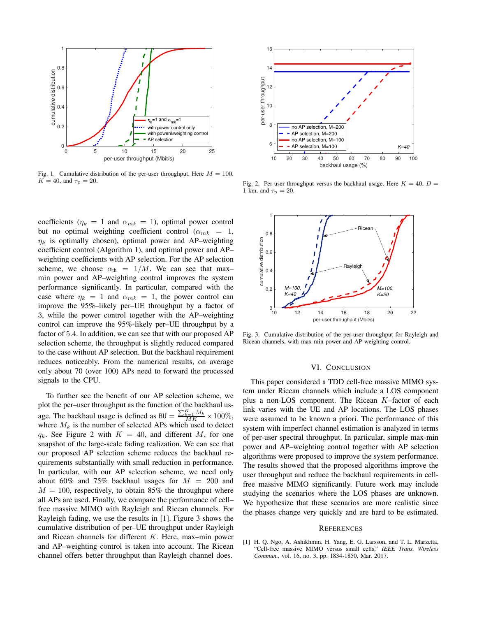

Fig. 1. Cumulative distribution of the per-user throughput. Here  $M = 100$ ,  $K = 40$ , and  $\tau_{\rm p} = 20$ .

coefficients ( $\eta_k = 1$  and  $\alpha_{mk} = 1$ ), optimal power control but no optimal weighting coefficient control ( $\alpha_{mk}$  = 1,  $\eta_k$  is optimally chosen), optimal power and AP–weighting coefficient control (Algorithm 1), and optimal power and AP– weighting coefficients with AP selection. For the AP selection scheme, we choose  $\alpha_{\text{th}} = 1/M$ . We can see that maxmin power and AP–weighting control improves the system performance significantly. In particular, compared with the case where  $\eta_k = 1$  and  $\alpha_{mk} = 1$ , the power control can improve the 95%–likely per–UE throughput by a factor of 3, while the power control together with the AP–weighting control can improve the 95%-likely per–UE throughput by a factor of 5.4. In addition, we can see that with our proposed AP selection scheme, the throughput is slightly reduced compared to the case without AP selection. But the backhaul requirement reduces noticeably. From the numerical results, on average only about 70 (over 100) APs need to forward the processed signals to the CPU.

To further see the benefit of our AP selection scheme, we plot the per–user throughput as the function of the backhaul usage. The backhaul usage is defined as BU =  $\frac{\sum_{k=1}^{K} M_k}{MK} \times 100\%$ , where  $M_k$  is the number of selected APs which used to detect  $q_k$ . See Figure 2 with  $K = 40$ , and different M, for one snapshot of the large-scale fading realization. We can see that our proposed AP selection scheme reduces the backhaul requirements substantially with small reduction in performance. In particular, with our AP selection scheme, we need only about 60% and 75% backhaul usages for  $M = 200$  and  $M = 100$ , respectively, to obtain 85% the throughput where all APs are used. Finally, we compare the performance of cell– free massive MIMO with Rayleigh and Ricean channels. For Rayleigh fading, we use the results in [1]. Figure 3 shows the cumulative distribution of per–UE throughput under Rayleigh and Ricean channels for different K. Here, max–min power and AP–weighting control is taken into account. The Ricean channel offers better throughput than Rayleigh channel does.



Fig. 2. Per-user throughput versus the backhaul usage. Here  $K = 40$ ,  $D =$ 1 km, and  $\tau_{\rm p} = 20$ .



Fig. 3. Cumulative distribution of the per-user throughput for Rayleigh and Ricean channels, with max-min power and AP-weighting control.

#### VI. CONCLUSION

This paper considered a TDD cell-free massive MIMO system under Ricean channels which include a LOS component plus a non-LOS component. The Ricean K–factor of each link varies with the UE and AP locations. The LOS phases were assumed to be known a priori. The performance of this system with imperfect channel estimation is analyzed in terms of per-user spectral throughput. In particular, simple max-min power and AP–weighting control together with AP selection algorithms were proposed to improve the system performance. The results showed that the proposed algorithms improve the user throughput and reduce the backhaul requirements in cellfree massive MIMO significantly. Future work may include studying the scenarios where the LOS phases are unknown. We hypothesize that these scenarios are more realistic since the phases change very quickly and are hard to be estimated.

#### **REFERENCES**

[1] H. Q. Ngo, A. Ashikhmin, H. Yang, E. G. Larsson, and T. L. Marzetta, "Cell-free massive MIMO versus small cells," *IEEE Trans. Wireless Commun.*, vol. 16, no. 3, pp. 1834-1850, Mar. 2017.